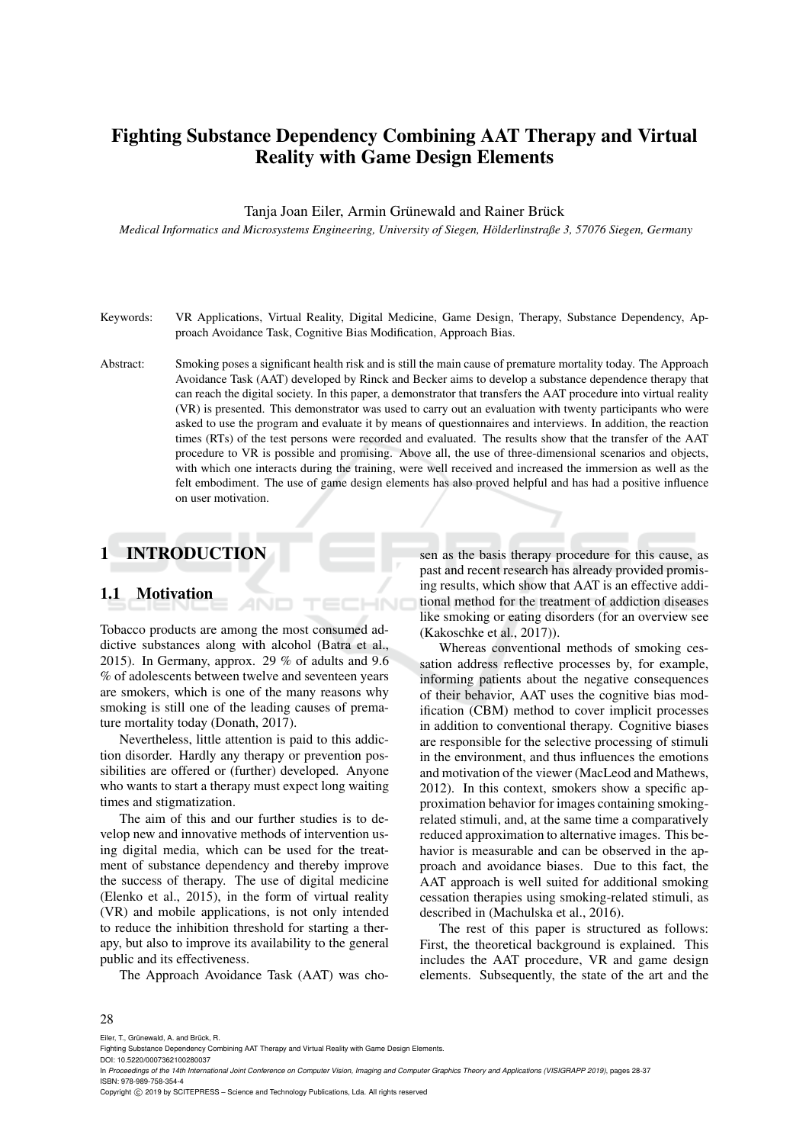# Fighting Substance Dependency Combining AAT Therapy and Virtual Reality with Game Design Elements

#### Tanja Joan Eiler, Armin Grünewald and Rainer Brück

*Medical Informatics and Microsystems Engineering, University of Siegen, Holderlinstraße 3, 57076 Siegen, Germany ¨*

- Keywords: VR Applications, Virtual Reality, Digital Medicine, Game Design, Therapy, Substance Dependency, Approach Avoidance Task, Cognitive Bias Modification, Approach Bias.
- Abstract: Smoking poses a significant health risk and is still the main cause of premature mortality today. The Approach Avoidance Task (AAT) developed by Rinck and Becker aims to develop a substance dependence therapy that can reach the digital society. In this paper, a demonstrator that transfers the AAT procedure into virtual reality (VR) is presented. This demonstrator was used to carry out an evaluation with twenty participants who were asked to use the program and evaluate it by means of questionnaires and interviews. In addition, the reaction times (RTs) of the test persons were recorded and evaluated. The results show that the transfer of the AAT procedure to VR is possible and promising. Above all, the use of three-dimensional scenarios and objects, with which one interacts during the training, were well received and increased the immersion as well as the felt embodiment. The use of game design elements has also proved helpful and has had a positive influence on user motivation.

HN

# 1 INTRODUCTION

## 1.1 Motivation

Tobacco products are among the most consumed addictive substances along with alcohol (Batra et al., 2015). In Germany, approx. 29 % of adults and 9.6 % of adolescents between twelve and seventeen years are smokers, which is one of the many reasons why smoking is still one of the leading causes of premature mortality today (Donath, 2017).

AND

Nevertheless, little attention is paid to this addiction disorder. Hardly any therapy or prevention possibilities are offered or (further) developed. Anyone who wants to start a therapy must expect long waiting times and stigmatization.

The aim of this and our further studies is to develop new and innovative methods of intervention using digital media, which can be used for the treatment of substance dependency and thereby improve the success of therapy. The use of digital medicine (Elenko et al., 2015), in the form of virtual reality (VR) and mobile applications, is not only intended to reduce the inhibition threshold for starting a therapy, but also to improve its availability to the general public and its effectiveness.

The Approach Avoidance Task (AAT) was cho-

sen as the basis therapy procedure for this cause, as past and recent research has already provided promising results, which show that AAT is an effective additional method for the treatment of addiction diseases like smoking or eating disorders (for an overview see (Kakoschke et al., 2017)).

Whereas conventional methods of smoking cessation address reflective processes by, for example, informing patients about the negative consequences of their behavior, AAT uses the cognitive bias modification (CBM) method to cover implicit processes in addition to conventional therapy. Cognitive biases are responsible for the selective processing of stimuli in the environment, and thus influences the emotions and motivation of the viewer (MacLeod and Mathews, 2012). In this context, smokers show a specific approximation behavior for images containing smokingrelated stimuli, and, at the same time a comparatively reduced approximation to alternative images. This behavior is measurable and can be observed in the approach and avoidance biases. Due to this fact, the AAT approach is well suited for additional smoking cessation therapies using smoking-related stimuli, as described in (Machulska et al., 2016).

The rest of this paper is structured as follows: First, the theoretical background is explained. This includes the AAT procedure, VR and game design elements. Subsequently, the state of the art and the

#### 28

Eiler, T., Grünewald, A. and Brück, R.

In *Proceedings of the 14th International Joint Conference on Computer Vision, Imaging and Computer Graphics Theory and Applications (VISIGRAPP 2019)*, pages 28-37 ISBN: 978-989-758-354-4

Copyright (C) 2019 by SCITEPRESS - Science and Technology Publications, Lda. All rights reserved

Fighting Substance Dependency Combining AAT Therapy and Virtual Reality with Game Design Elements.

DOI: 10.5220/0007362100280037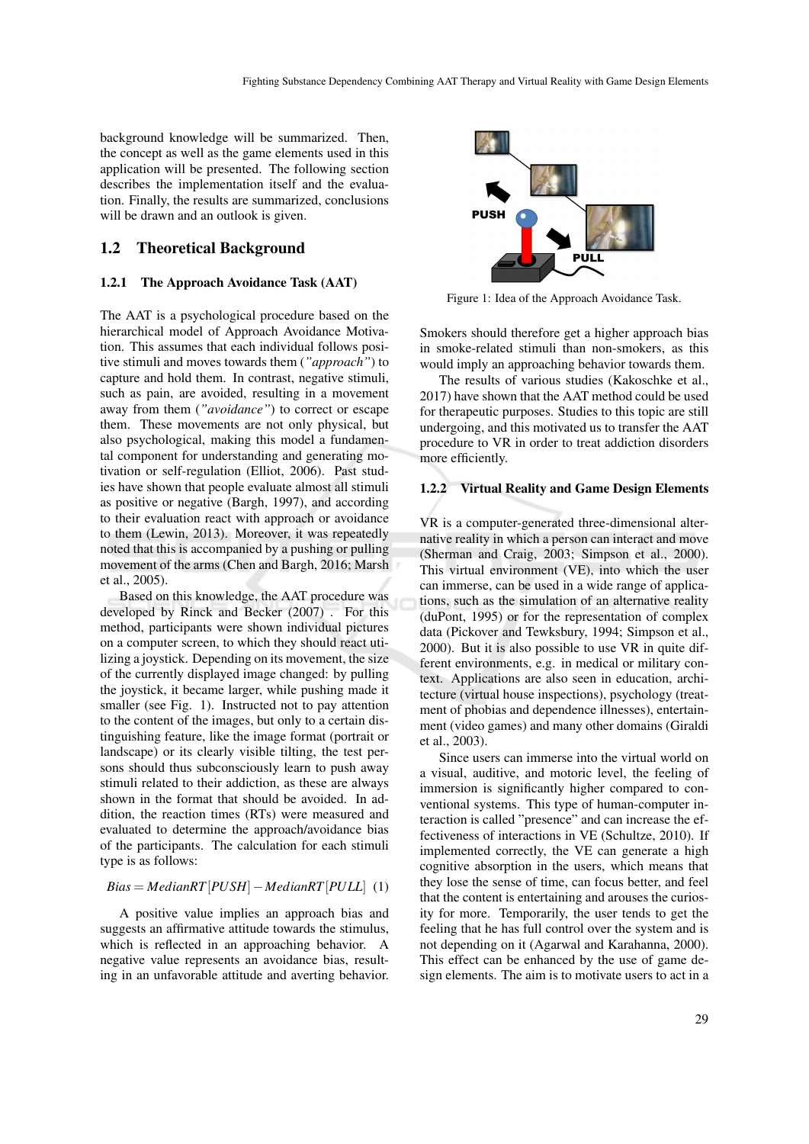background knowledge will be summarized. Then, the concept as well as the game elements used in this application will be presented. The following section describes the implementation itself and the evaluation. Finally, the results are summarized, conclusions will be drawn and an outlook is given.

### 1.2 Theoretical Background

#### 1.2.1 The Approach Avoidance Task (AAT)

The AAT is a psychological procedure based on the hierarchical model of Approach Avoidance Motivation. This assumes that each individual follows positive stimuli and moves towards them (*"approach"*) to capture and hold them. In contrast, negative stimuli, such as pain, are avoided, resulting in a movement away from them (*"avoidance"*) to correct or escape them. These movements are not only physical, but also psychological, making this model a fundamental component for understanding and generating motivation or self-regulation (Elliot, 2006). Past studies have shown that people evaluate almost all stimuli as positive or negative (Bargh, 1997), and according to their evaluation react with approach or avoidance to them (Lewin, 2013). Moreover, it was repeatedly noted that this is accompanied by a pushing or pulling movement of the arms (Chen and Bargh, 2016; Marsh et al., 2005).

Based on this knowledge, the AAT procedure was developed by Rinck and Becker (2007) . For this method, participants were shown individual pictures on a computer screen, to which they should react utilizing a joystick. Depending on its movement, the size of the currently displayed image changed: by pulling the joystick, it became larger, while pushing made it smaller (see Fig. 1). Instructed not to pay attention to the content of the images, but only to a certain distinguishing feature, like the image format (portrait or landscape) or its clearly visible tilting, the test persons should thus subconsciously learn to push away stimuli related to their addiction, as these are always shown in the format that should be avoided. In addition, the reaction times (RTs) were measured and evaluated to determine the approach/avoidance bias of the participants. The calculation for each stimuli type is as follows:

#### *Bias* = *MedianRT*[*PUSH*]−*MedianRT*[*PULL*] (1)

A positive value implies an approach bias and suggests an affirmative attitude towards the stimulus, which is reflected in an approaching behavior. A negative value represents an avoidance bias, resulting in an unfavorable attitude and averting behavior.



Figure 1: Idea of the Approach Avoidance Task.

Smokers should therefore get a higher approach bias in smoke-related stimuli than non-smokers, as this would imply an approaching behavior towards them.

The results of various studies (Kakoschke et al., 2017) have shown that the AAT method could be used for therapeutic purposes. Studies to this topic are still undergoing, and this motivated us to transfer the AAT procedure to VR in order to treat addiction disorders more efficiently.

#### 1.2.2 Virtual Reality and Game Design Elements

VR is a computer-generated three-dimensional alternative reality in which a person can interact and move (Sherman and Craig, 2003; Simpson et al., 2000). This virtual environment (VE), into which the user can immerse, can be used in a wide range of applications, such as the simulation of an alternative reality (duPont, 1995) or for the representation of complex data (Pickover and Tewksbury, 1994; Simpson et al., 2000). But it is also possible to use VR in quite different environments, e.g. in medical or military context. Applications are also seen in education, architecture (virtual house inspections), psychology (treatment of phobias and dependence illnesses), entertainment (video games) and many other domains (Giraldi et al., 2003).

Since users can immerse into the virtual world on a visual, auditive, and motoric level, the feeling of immersion is significantly higher compared to conventional systems. This type of human-computer interaction is called "presence" and can increase the effectiveness of interactions in VE (Schultze, 2010). If implemented correctly, the VE can generate a high cognitive absorption in the users, which means that they lose the sense of time, can focus better, and feel that the content is entertaining and arouses the curiosity for more. Temporarily, the user tends to get the feeling that he has full control over the system and is not depending on it (Agarwal and Karahanna, 2000). This effect can be enhanced by the use of game design elements. The aim is to motivate users to act in a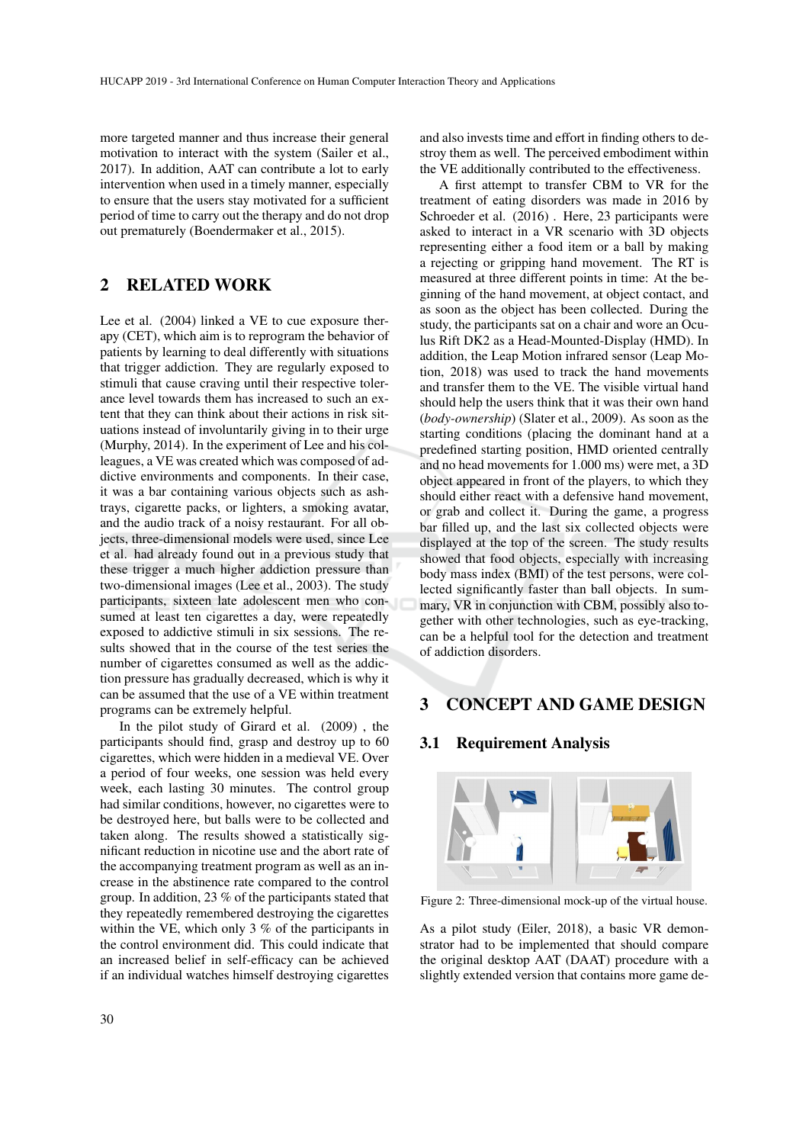more targeted manner and thus increase their general motivation to interact with the system (Sailer et al., 2017). In addition, AAT can contribute a lot to early intervention when used in a timely manner, especially to ensure that the users stay motivated for a sufficient period of time to carry out the therapy and do not drop out prematurely (Boendermaker et al., 2015).

# 2 RELATED WORK

Lee et al. (2004) linked a VE to cue exposure therapy (CET), which aim is to reprogram the behavior of patients by learning to deal differently with situations that trigger addiction. They are regularly exposed to stimuli that cause craving until their respective tolerance level towards them has increased to such an extent that they can think about their actions in risk situations instead of involuntarily giving in to their urge (Murphy, 2014). In the experiment of Lee and his colleagues, a VE was created which was composed of addictive environments and components. In their case, it was a bar containing various objects such as ashtrays, cigarette packs, or lighters, a smoking avatar, and the audio track of a noisy restaurant. For all objects, three-dimensional models were used, since Lee et al. had already found out in a previous study that these trigger a much higher addiction pressure than two-dimensional images (Lee et al., 2003). The study participants, sixteen late adolescent men who consumed at least ten cigarettes a day, were repeatedly exposed to addictive stimuli in six sessions. The results showed that in the course of the test series the number of cigarettes consumed as well as the addiction pressure has gradually decreased, which is why it can be assumed that the use of a VE within treatment programs can be extremely helpful.

In the pilot study of Girard et al. (2009) , the participants should find, grasp and destroy up to 60 cigarettes, which were hidden in a medieval VE. Over a period of four weeks, one session was held every week, each lasting 30 minutes. The control group had similar conditions, however, no cigarettes were to be destroyed here, but balls were to be collected and taken along. The results showed a statistically significant reduction in nicotine use and the abort rate of the accompanying treatment program as well as an increase in the abstinence rate compared to the control group. In addition, 23 % of the participants stated that they repeatedly remembered destroying the cigarettes within the VE, which only 3 % of the participants in the control environment did. This could indicate that an increased belief in self-efficacy can be achieved if an individual watches himself destroying cigarettes

and also invests time and effort in finding others to destroy them as well. The perceived embodiment within the VE additionally contributed to the effectiveness.

A first attempt to transfer CBM to VR for the treatment of eating disorders was made in 2016 by Schroeder et al. (2016) . Here, 23 participants were asked to interact in a VR scenario with 3D objects representing either a food item or a ball by making a rejecting or gripping hand movement. The RT is measured at three different points in time: At the beginning of the hand movement, at object contact, and as soon as the object has been collected. During the study, the participants sat on a chair and wore an Oculus Rift DK2 as a Head-Mounted-Display (HMD). In addition, the Leap Motion infrared sensor (Leap Motion, 2018) was used to track the hand movements and transfer them to the VE. The visible virtual hand should help the users think that it was their own hand (*body-ownership*) (Slater et al., 2009). As soon as the starting conditions (placing the dominant hand at a predefined starting position, HMD oriented centrally and no head movements for 1.000 ms) were met, a 3D object appeared in front of the players, to which they should either react with a defensive hand movement, or grab and collect it. During the game, a progress bar filled up, and the last six collected objects were displayed at the top of the screen. The study results showed that food objects, especially with increasing body mass index (BMI) of the test persons, were collected significantly faster than ball objects. In summary, VR in conjunction with CBM, possibly also together with other technologies, such as eye-tracking, can be a helpful tool for the detection and treatment of addiction disorders.

## 3 CONCEPT AND GAME DESIGN

## 3.1 Requirement Analysis



Figure 2: Three-dimensional mock-up of the virtual house.

As a pilot study (Eiler, 2018), a basic VR demonstrator had to be implemented that should compare the original desktop AAT (DAAT) procedure with a slightly extended version that contains more game de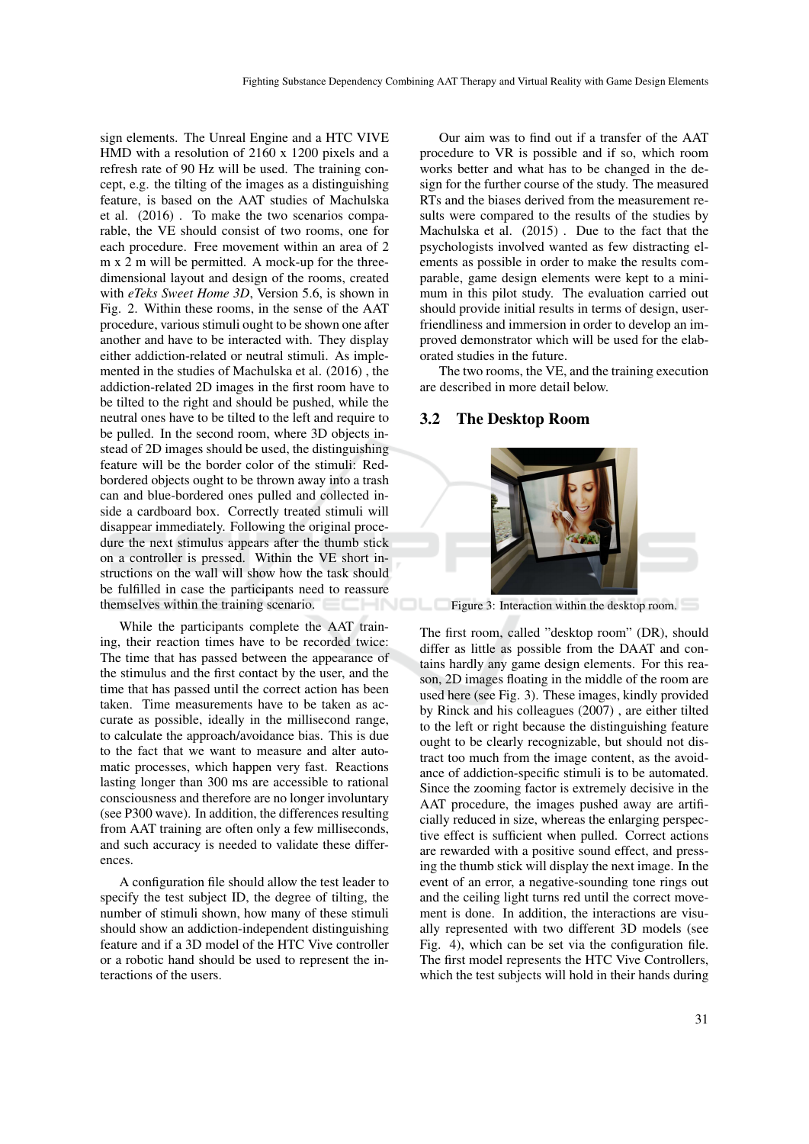sign elements. The Unreal Engine and a HTC VIVE HMD with a resolution of 2160 x 1200 pixels and a refresh rate of 90 Hz will be used. The training concept, e.g. the tilting of the images as a distinguishing feature, is based on the AAT studies of Machulska et al. (2016) . To make the two scenarios comparable, the VE should consist of two rooms, one for each procedure. Free movement within an area of 2 m x 2 m will be permitted. A mock-up for the threedimensional layout and design of the rooms, created with *eTeks Sweet Home 3D*, Version 5.6, is shown in Fig. 2. Within these rooms, in the sense of the AAT procedure, various stimuli ought to be shown one after another and have to be interacted with. They display either addiction-related or neutral stimuli. As implemented in the studies of Machulska et al. (2016) , the addiction-related 2D images in the first room have to be tilted to the right and should be pushed, while the neutral ones have to be tilted to the left and require to be pulled. In the second room, where 3D objects instead of 2D images should be used, the distinguishing feature will be the border color of the stimuli: Redbordered objects ought to be thrown away into a trash can and blue-bordered ones pulled and collected inside a cardboard box. Correctly treated stimuli will disappear immediately. Following the original procedure the next stimulus appears after the thumb stick on a controller is pressed. Within the VE short instructions on the wall will show how the task should be fulfilled in case the participants need to reassure themselves within the training scenario.

While the participants complete the AAT training, their reaction times have to be recorded twice: The time that has passed between the appearance of the stimulus and the first contact by the user, and the time that has passed until the correct action has been taken. Time measurements have to be taken as accurate as possible, ideally in the millisecond range, to calculate the approach/avoidance bias. This is due to the fact that we want to measure and alter automatic processes, which happen very fast. Reactions lasting longer than 300 ms are accessible to rational consciousness and therefore are no longer involuntary (see P300 wave). In addition, the differences resulting from AAT training are often only a few milliseconds, and such accuracy is needed to validate these differences.

A configuration file should allow the test leader to specify the test subject ID, the degree of tilting, the number of stimuli shown, how many of these stimuli should show an addiction-independent distinguishing feature and if a 3D model of the HTC Vive controller or a robotic hand should be used to represent the interactions of the users.

Our aim was to find out if a transfer of the AAT procedure to VR is possible and if so, which room works better and what has to be changed in the design for the further course of the study. The measured RTs and the biases derived from the measurement results were compared to the results of the studies by Machulska et al. (2015) . Due to the fact that the psychologists involved wanted as few distracting elements as possible in order to make the results comparable, game design elements were kept to a minimum in this pilot study. The evaluation carried out should provide initial results in terms of design, userfriendliness and immersion in order to develop an improved demonstrator which will be used for the elaborated studies in the future.

The two rooms, the VE, and the training execution are described in more detail below.

### 3.2 The Desktop Room



Figure 3: Interaction within the desktop room.

The first room, called "desktop room" (DR), should differ as little as possible from the DAAT and contains hardly any game design elements. For this reason, 2D images floating in the middle of the room are used here (see Fig. 3). These images, kindly provided by Rinck and his colleagues (2007) , are either tilted to the left or right because the distinguishing feature ought to be clearly recognizable, but should not distract too much from the image content, as the avoidance of addiction-specific stimuli is to be automated. Since the zooming factor is extremely decisive in the AAT procedure, the images pushed away are artificially reduced in size, whereas the enlarging perspective effect is sufficient when pulled. Correct actions are rewarded with a positive sound effect, and pressing the thumb stick will display the next image. In the event of an error, a negative-sounding tone rings out and the ceiling light turns red until the correct movement is done. In addition, the interactions are visually represented with two different 3D models (see Fig. 4), which can be set via the configuration file. The first model represents the HTC Vive Controllers, which the test subjects will hold in their hands during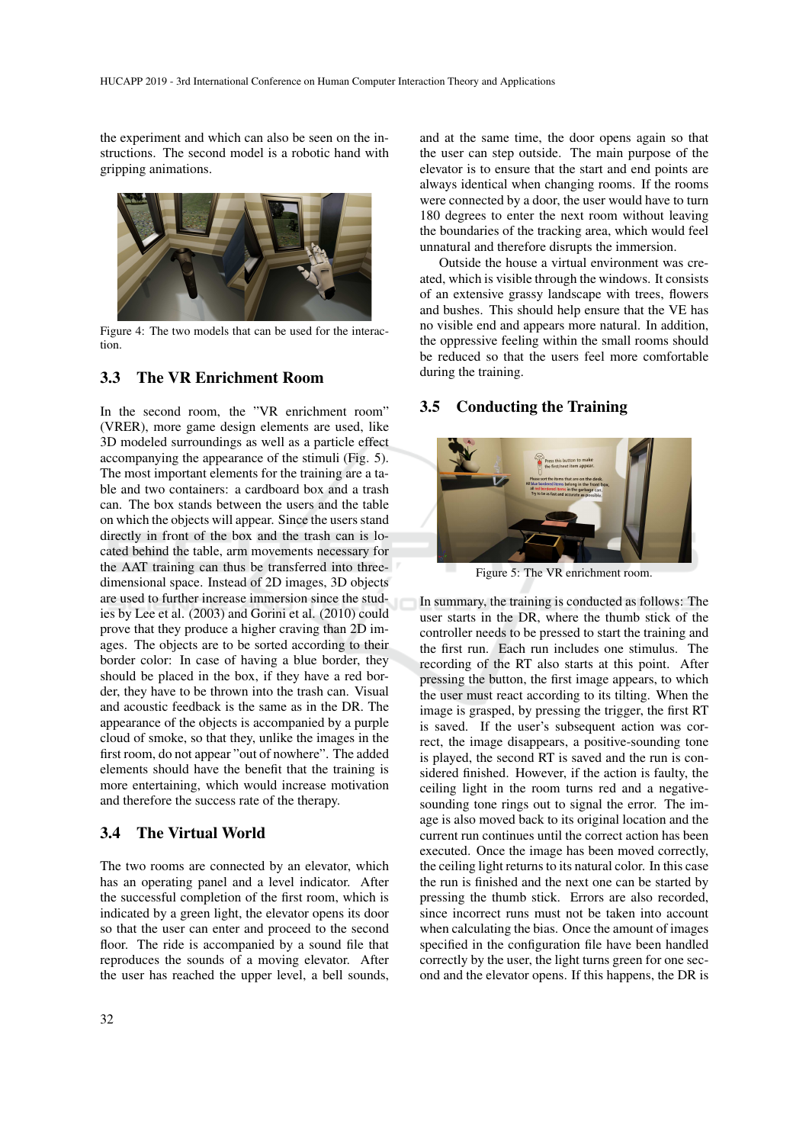the experiment and which can also be seen on the instructions. The second model is a robotic hand with gripping animations.



Figure 4: The two models that can be used for the interaction.

## 3.3 The VR Enrichment Room

In the second room, the "VR enrichment room" (VRER), more game design elements are used, like 3D modeled surroundings as well as a particle effect accompanying the appearance of the stimuli (Fig. 5). The most important elements for the training are a table and two containers: a cardboard box and a trash can. The box stands between the users and the table on which the objects will appear. Since the users stand directly in front of the box and the trash can is located behind the table, arm movements necessary for the AAT training can thus be transferred into threedimensional space. Instead of 2D images, 3D objects are used to further increase immersion since the studies by Lee et al. (2003) and Gorini et al. (2010) could prove that they produce a higher craving than 2D images. The objects are to be sorted according to their border color: In case of having a blue border, they should be placed in the box, if they have a red border, they have to be thrown into the trash can. Visual and acoustic feedback is the same as in the DR. The appearance of the objects is accompanied by a purple cloud of smoke, so that they, unlike the images in the first room, do not appear "out of nowhere". The added elements should have the benefit that the training is more entertaining, which would increase motivation and therefore the success rate of the therapy.

## 3.4 The Virtual World

The two rooms are connected by an elevator, which has an operating panel and a level indicator. After the successful completion of the first room, which is indicated by a green light, the elevator opens its door so that the user can enter and proceed to the second floor. The ride is accompanied by a sound file that reproduces the sounds of a moving elevator. After the user has reached the upper level, a bell sounds,

and at the same time, the door opens again so that the user can step outside. The main purpose of the elevator is to ensure that the start and end points are always identical when changing rooms. If the rooms were connected by a door, the user would have to turn 180 degrees to enter the next room without leaving the boundaries of the tracking area, which would feel unnatural and therefore disrupts the immersion.

Outside the house a virtual environment was created, which is visible through the windows. It consists of an extensive grassy landscape with trees, flowers and bushes. This should help ensure that the VE has no visible end and appears more natural. In addition, the oppressive feeling within the small rooms should be reduced so that the users feel more comfortable during the training.

## 3.5 Conducting the Training



Figure 5: The VR enrichment room.

In summary, the training is conducted as follows: The user starts in the DR, where the thumb stick of the controller needs to be pressed to start the training and the first run. Each run includes one stimulus. The recording of the RT also starts at this point. After pressing the button, the first image appears, to which the user must react according to its tilting. When the image is grasped, by pressing the trigger, the first RT is saved. If the user's subsequent action was correct, the image disappears, a positive-sounding tone is played, the second RT is saved and the run is considered finished. However, if the action is faulty, the ceiling light in the room turns red and a negativesounding tone rings out to signal the error. The image is also moved back to its original location and the current run continues until the correct action has been executed. Once the image has been moved correctly, the ceiling light returns to its natural color. In this case the run is finished and the next one can be started by pressing the thumb stick. Errors are also recorded, since incorrect runs must not be taken into account when calculating the bias. Once the amount of images specified in the configuration file have been handled correctly by the user, the light turns green for one second and the elevator opens. If this happens, the DR is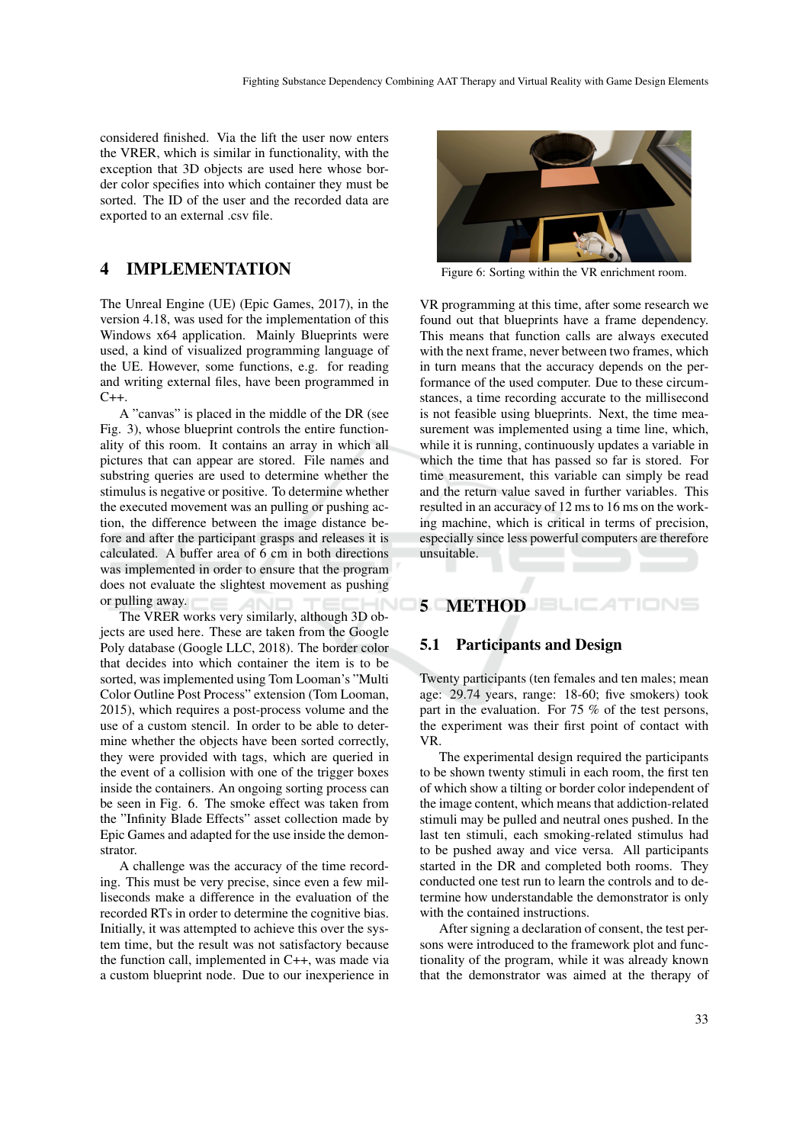considered finished. Via the lift the user now enters the VRER, which is similar in functionality, with the exception that 3D objects are used here whose border color specifies into which container they must be sorted. The ID of the user and the recorded data are exported to an external .csv file.

# 4 IMPLEMENTATION

The Unreal Engine (UE) (Epic Games, 2017), in the version 4.18, was used for the implementation of this Windows x64 application. Mainly Blueprints were used, a kind of visualized programming language of the UE. However, some functions, e.g. for reading and writing external files, have been programmed in  $C_{++}$ 

A "canvas" is placed in the middle of the DR (see Fig. 3), whose blueprint controls the entire functionality of this room. It contains an array in which all pictures that can appear are stored. File names and substring queries are used to determine whether the stimulus is negative or positive. To determine whether the executed movement was an pulling or pushing action, the difference between the image distance before and after the participant grasps and releases it is calculated. A buffer area of 6 cm in both directions was implemented in order to ensure that the program does not evaluate the slightest movement as pushing or pulling away.

The VRER works very similarly, although 3D objects are used here. These are taken from the Google Poly database (Google LLC, 2018). The border color that decides into which container the item is to be sorted, was implemented using Tom Looman's "Multi Color Outline Post Process" extension (Tom Looman, 2015), which requires a post-process volume and the use of a custom stencil. In order to be able to determine whether the objects have been sorted correctly, they were provided with tags, which are queried in the event of a collision with one of the trigger boxes inside the containers. An ongoing sorting process can be seen in Fig. 6. The smoke effect was taken from the "Infinity Blade Effects" asset collection made by Epic Games and adapted for the use inside the demonstrator.

A challenge was the accuracy of the time recording. This must be very precise, since even a few milliseconds make a difference in the evaluation of the recorded RTs in order to determine the cognitive bias. Initially, it was attempted to achieve this over the system time, but the result was not satisfactory because the function call, implemented in C++, was made via a custom blueprint node. Due to our inexperience in



Figure 6: Sorting within the VR enrichment room.

VR programming at this time, after some research we found out that blueprints have a frame dependency. This means that function calls are always executed with the next frame, never between two frames, which in turn means that the accuracy depends on the performance of the used computer. Due to these circumstances, a time recording accurate to the millisecond is not feasible using blueprints. Next, the time measurement was implemented using a time line, which, while it is running, continuously updates a variable in which the time that has passed so far is stored. For time measurement, this variable can simply be read and the return value saved in further variables. This resulted in an accuracy of 12 ms to 16 ms on the working machine, which is critical in terms of precision, especially since less powerful computers are therefore unsuitable.

# 5 METHOD

## 5.1 Participants and Design

Twenty participants (ten females and ten males; mean age: 29.74 years, range: 18-60; five smokers) took part in the evaluation. For 75 % of the test persons, the experiment was their first point of contact with VR.

The experimental design required the participants to be shown twenty stimuli in each room, the first ten of which show a tilting or border color independent of the image content, which means that addiction-related stimuli may be pulled and neutral ones pushed. In the last ten stimuli, each smoking-related stimulus had to be pushed away and vice versa. All participants started in the DR and completed both rooms. They conducted one test run to learn the controls and to determine how understandable the demonstrator is only with the contained instructions.

After signing a declaration of consent, the test persons were introduced to the framework plot and functionality of the program, while it was already known that the demonstrator was aimed at the therapy of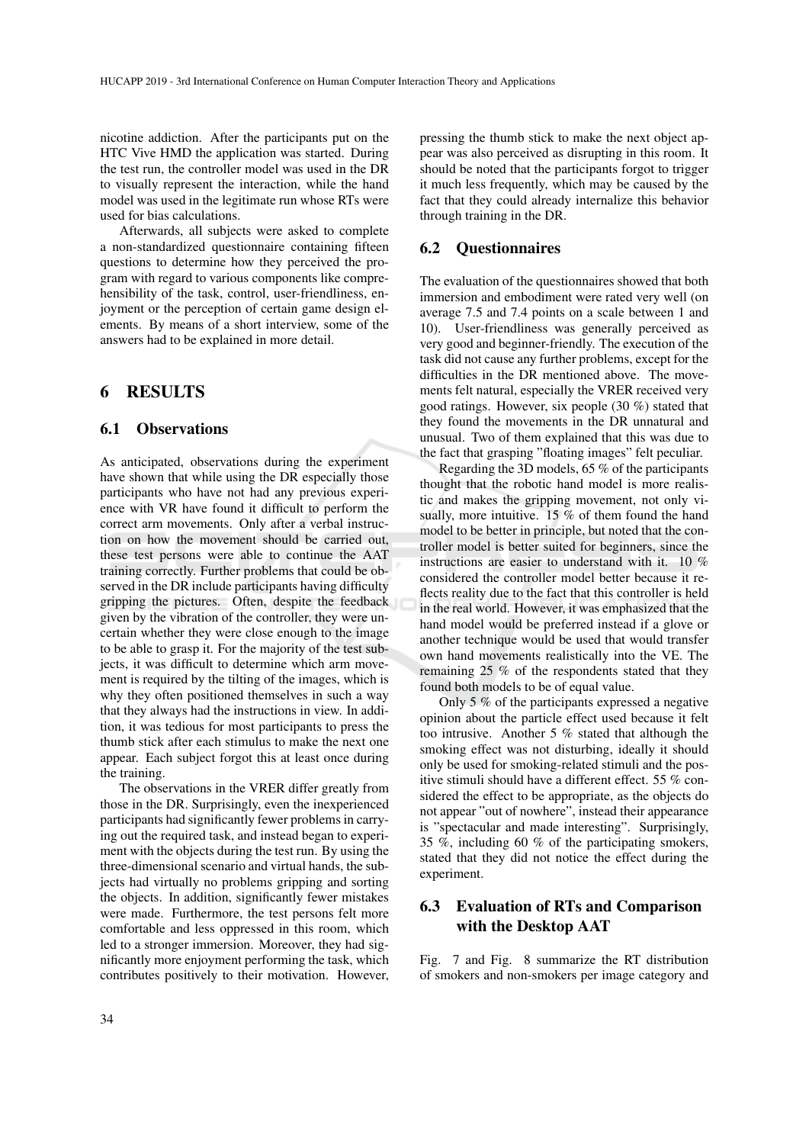nicotine addiction. After the participants put on the HTC Vive HMD the application was started. During the test run, the controller model was used in the DR to visually represent the interaction, while the hand model was used in the legitimate run whose RTs were used for bias calculations.

Afterwards, all subjects were asked to complete a non-standardized questionnaire containing fifteen questions to determine how they perceived the program with regard to various components like comprehensibility of the task, control, user-friendliness, enjoyment or the perception of certain game design elements. By means of a short interview, some of the answers had to be explained in more detail.

## 6 RESULTS

#### 6.1 Observations

As anticipated, observations during the experiment have shown that while using the DR especially those participants who have not had any previous experience with VR have found it difficult to perform the correct arm movements. Only after a verbal instruction on how the movement should be carried out, these test persons were able to continue the AAT training correctly. Further problems that could be observed in the DR include participants having difficulty gripping the pictures. Often, despite the feedback given by the vibration of the controller, they were uncertain whether they were close enough to the image to be able to grasp it. For the majority of the test subjects, it was difficult to determine which arm movement is required by the tilting of the images, which is why they often positioned themselves in such a way that they always had the instructions in view. In addition, it was tedious for most participants to press the thumb stick after each stimulus to make the next one appear. Each subject forgot this at least once during the training.

The observations in the VRER differ greatly from those in the DR. Surprisingly, even the inexperienced participants had significantly fewer problems in carrying out the required task, and instead began to experiment with the objects during the test run. By using the three-dimensional scenario and virtual hands, the subjects had virtually no problems gripping and sorting the objects. In addition, significantly fewer mistakes were made. Furthermore, the test persons felt more comfortable and less oppressed in this room, which led to a stronger immersion. Moreover, they had significantly more enjoyment performing the task, which contributes positively to their motivation. However, pressing the thumb stick to make the next object appear was also perceived as disrupting in this room. It should be noted that the participants forgot to trigger it much less frequently, which may be caused by the fact that they could already internalize this behavior through training in the DR.

### 6.2 Questionnaires

The evaluation of the questionnaires showed that both immersion and embodiment were rated very well (on average 7.5 and 7.4 points on a scale between 1 and 10). User-friendliness was generally perceived as very good and beginner-friendly. The execution of the task did not cause any further problems, except for the difficulties in the DR mentioned above. The movements felt natural, especially the VRER received very good ratings. However, six people (30 %) stated that they found the movements in the DR unnatural and unusual. Two of them explained that this was due to the fact that grasping "floating images" felt peculiar.

Regarding the 3D models, 65 % of the participants thought that the robotic hand model is more realistic and makes the gripping movement, not only visually, more intuitive. 15 % of them found the hand model to be better in principle, but noted that the controller model is better suited for beginners, since the instructions are easier to understand with it. 10 % considered the controller model better because it reflects reality due to the fact that this controller is held in the real world. However, it was emphasized that the hand model would be preferred instead if a glove or another technique would be used that would transfer own hand movements realistically into the VE. The remaining 25 % of the respondents stated that they found both models to be of equal value.

Only 5 % of the participants expressed a negative opinion about the particle effect used because it felt too intrusive. Another 5 % stated that although the smoking effect was not disturbing, ideally it should only be used for smoking-related stimuli and the positive stimuli should have a different effect. 55 % considered the effect to be appropriate, as the objects do not appear "out of nowhere", instead their appearance is "spectacular and made interesting". Surprisingly, 35 %, including 60 % of the participating smokers, stated that they did not notice the effect during the experiment.

# 6.3 Evaluation of RTs and Comparison with the Desktop AAT

Fig. 7 and Fig. 8 summarize the RT distribution of smokers and non-smokers per image category and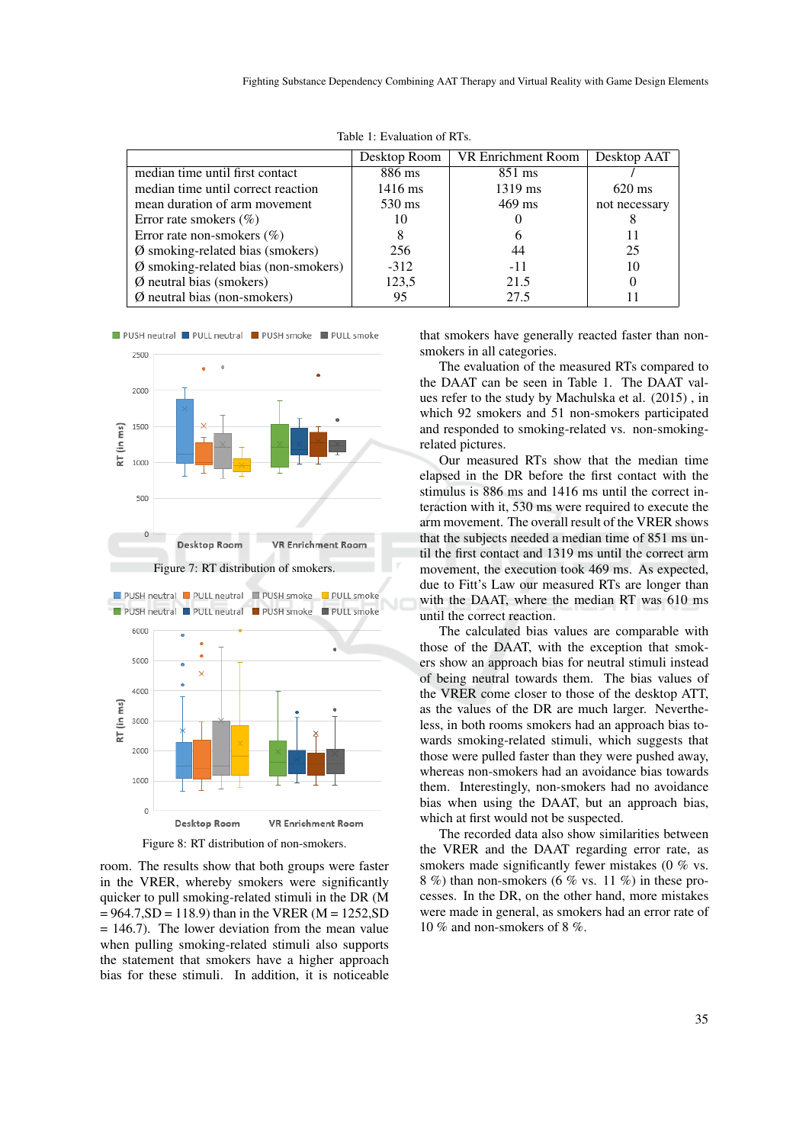|                                                | Desktop Room | VR Enrichment Room | Desktop AAT      |
|------------------------------------------------|--------------|--------------------|------------------|
| median time until first contact                | 886 ms       | 851 ms             |                  |
| median time until correct reaction             | 1416 ms      | 1319 ms            | $620 \text{ ms}$ |
| mean duration of arm movement                  | 530 ms       | $469$ ms           | not necessary    |
| Error rate smokers $(\% )$                     | 10           |                    | 8                |
| Error rate non-smokers $(\%)$                  |              |                    | 11               |
| $\emptyset$ smoking-related bias (smokers)     | 256          | 44                 | 25               |
| $\emptyset$ smoking-related bias (non-smokers) | $-312$       | $-11$              | 10               |
| $\emptyset$ neutral bias (smokers)             | 123,5        | 21.5               | 0                |
| $\varnothing$ neutral bias (non-smokers)       | 95           | 27.5               |                  |

Table 1: Evaluation of RTs.





Figure 8: RT distribution of non-smokers.

room. The results show that both groups were faster in the VRER, whereby smokers were significantly quicker to pull smoking-related stimuli in the DR (M  $= 964.7, SD = 118.9$ ) than in the VRER (M = 1252, SD  $= 146.7$ ). The lower deviation from the mean value when pulling smoking-related stimuli also supports the statement that smokers have a higher approach bias for these stimuli. In addition, it is noticeable that smokers have generally reacted faster than nonsmokers in all categories.

The evaluation of the measured RTs compared to the DAAT can be seen in Table 1. The DAAT values refer to the study by Machulska et al. (2015) , in which 92 smokers and 51 non-smokers participated and responded to smoking-related vs. non-smokingrelated pictures.

Our measured RTs show that the median time elapsed in the DR before the first contact with the stimulus is 886 ms and 1416 ms until the correct interaction with it, 530 ms were required to execute the arm movement. The overall result of the VRER shows that the subjects needed a median time of 851 ms until the first contact and 1319 ms until the correct arm movement, the execution took 469 ms. As expected, due to Fitt's Law our measured RTs are longer than with the DAAT, where the median RT was 610 ms until the correct reaction.

The calculated bias values are comparable with those of the DAAT, with the exception that smokers show an approach bias for neutral stimuli instead of being neutral towards them. The bias values of the VRER come closer to those of the desktop ATT, as the values of the DR are much larger. Nevertheless, in both rooms smokers had an approach bias towards smoking-related stimuli, which suggests that those were pulled faster than they were pushed away, whereas non-smokers had an avoidance bias towards them. Interestingly, non-smokers had no avoidance bias when using the DAAT, but an approach bias, which at first would not be suspected.

The recorded data also show similarities between the VRER and the DAAT regarding error rate, as smokers made significantly fewer mistakes (0 % vs. 8 %) than non-smokers (6 % vs. 11 %) in these processes. In the DR, on the other hand, more mistakes were made in general, as smokers had an error rate of 10 % and non-smokers of 8 %.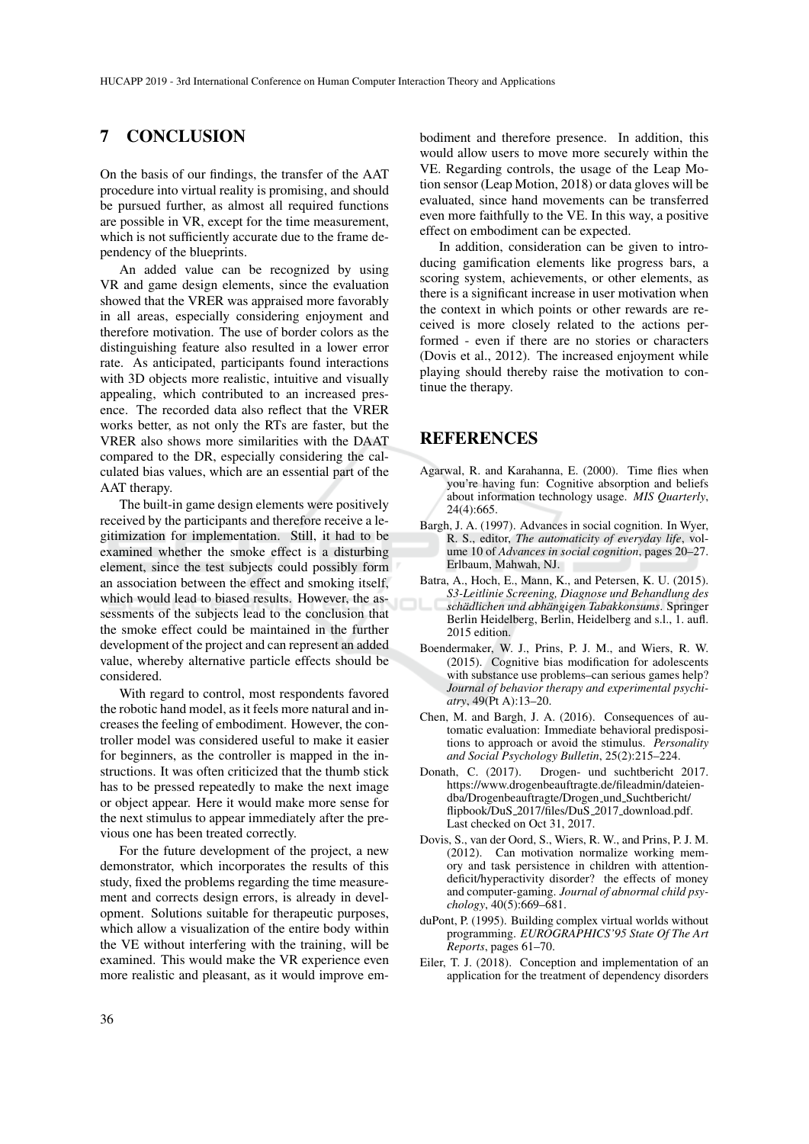# 7 CONCLUSION

On the basis of our findings, the transfer of the AAT procedure into virtual reality is promising, and should be pursued further, as almost all required functions are possible in VR, except for the time measurement, which is not sufficiently accurate due to the frame dependency of the blueprints.

An added value can be recognized by using VR and game design elements, since the evaluation showed that the VRER was appraised more favorably in all areas, especially considering enjoyment and therefore motivation. The use of border colors as the distinguishing feature also resulted in a lower error rate. As anticipated, participants found interactions with 3D objects more realistic, intuitive and visually appealing, which contributed to an increased presence. The recorded data also reflect that the VRER works better, as not only the RTs are faster, but the VRER also shows more similarities with the DAAT compared to the DR, especially considering the calculated bias values, which are an essential part of the AAT therapy.

The built-in game design elements were positively received by the participants and therefore receive a legitimization for implementation. Still, it had to be examined whether the smoke effect is a disturbing element, since the test subjects could possibly form an association between the effect and smoking itself, which would lead to biased results. However, the assessments of the subjects lead to the conclusion that the smoke effect could be maintained in the further development of the project and can represent an added value, whereby alternative particle effects should be considered.

With regard to control, most respondents favored the robotic hand model, as it feels more natural and increases the feeling of embodiment. However, the controller model was considered useful to make it easier for beginners, as the controller is mapped in the instructions. It was often criticized that the thumb stick has to be pressed repeatedly to make the next image or object appear. Here it would make more sense for the next stimulus to appear immediately after the previous one has been treated correctly.

For the future development of the project, a new demonstrator, which incorporates the results of this study, fixed the problems regarding the time measurement and corrects design errors, is already in development. Solutions suitable for therapeutic purposes, which allow a visualization of the entire body within the VE without interfering with the training, will be examined. This would make the VR experience even more realistic and pleasant, as it would improve em-

bodiment and therefore presence. In addition, this would allow users to move more securely within the VE. Regarding controls, the usage of the Leap Motion sensor (Leap Motion, 2018) or data gloves will be evaluated, since hand movements can be transferred even more faithfully to the VE. In this way, a positive effect on embodiment can be expected.

In addition, consideration can be given to introducing gamification elements like progress bars, a scoring system, achievements, or other elements, as there is a significant increase in user motivation when the context in which points or other rewards are received is more closely related to the actions performed - even if there are no stories or characters (Dovis et al., 2012). The increased enjoyment while playing should thereby raise the motivation to continue the therapy.

# **REFERENCES**

- Agarwal, R. and Karahanna, E. (2000). Time flies when you're having fun: Cognitive absorption and beliefs about information technology usage. *MIS Quarterly*, 24(4):665.
- Bargh, J. A. (1997). Advances in social cognition. In Wyer, R. S., editor, *The automaticity of everyday life*, volume 10 of *Advances in social cognition*, pages 20–27. Erlbaum, Mahwah, NJ.
- Batra, A., Hoch, E., Mann, K., and Petersen, K. U. (2015). *S3-Leitlinie Screening, Diagnose und Behandlung des schadlichen und abh ¨ angigen Tabakkonsums ¨* . Springer Berlin Heidelberg, Berlin, Heidelberg and s.l., 1. aufl. 2015 edition.
- Boendermaker, W. J., Prins, P. J. M., and Wiers, R. W. (2015). Cognitive bias modification for adolescents with substance use problems–can serious games help? *Journal of behavior therapy and experimental psychiatry*, 49(Pt A):13–20.
- Chen, M. and Bargh, J. A. (2016). Consequences of automatic evaluation: Immediate behavioral predispositions to approach or avoid the stimulus. *Personality and Social Psychology Bulletin*, 25(2):215–224.
- Donath, C. (2017). Drogen- und suchtbericht 2017. https://www.drogenbeauftragte.de/fileadmin/dateiendba/Drogenbeauftragte/Drogen und Suchtbericht/ flipbook/DuS 2017/files/DuS 2017 download.pdf. Last checked on Oct 31, 2017.
- Dovis, S., van der Oord, S., Wiers, R. W., and Prins, P. J. M. (2012). Can motivation normalize working memory and task persistence in children with attentiondeficit/hyperactivity disorder? the effects of money and computer-gaming. *Journal of abnormal child psychology*, 40(5):669–681.
- duPont, P. (1995). Building complex virtual worlds without programming. *EUROGRAPHICS'95 State Of The Art Reports*, pages 61–70.
- Eiler, T. J. (2018). Conception and implementation of an application for the treatment of dependency disorders